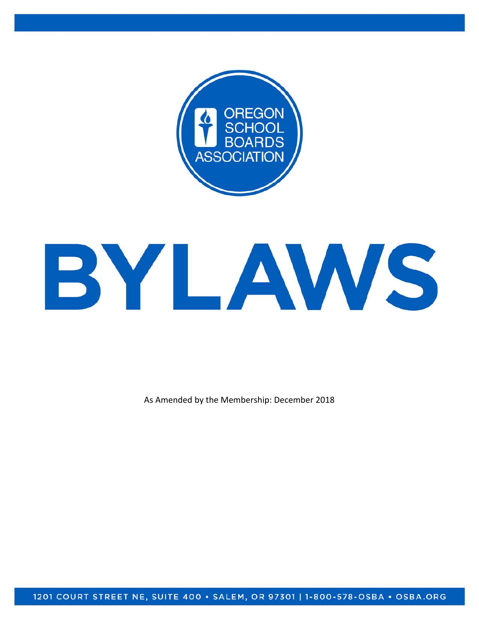



As Amended by the Membership: December 2018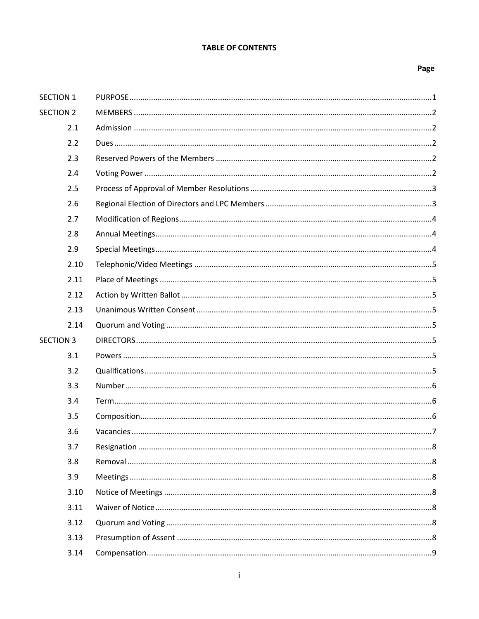## **TABLE OF CONTENTS**

#### Page

| <b>SECTION 1</b> |  |
|------------------|--|
| <b>SECTION 2</b> |  |
| 2.1              |  |
| 2.2              |  |
| 2.3              |  |
| 2.4              |  |
| 2.5              |  |
| 2.6              |  |
| 2.7              |  |
| 2.8              |  |
| 2.9              |  |
| 2.10             |  |
| 2.11             |  |
| 2.12             |  |
| 2.13             |  |
| 2.14             |  |
| <b>SECTION 3</b> |  |
| 3.1              |  |
| 3.2              |  |
| 3.3              |  |
| 3.4              |  |
| 3.5              |  |
| 3.6              |  |
| 3.7              |  |
| 3.8              |  |
| 3.9              |  |
| 3.10             |  |
| 3.11             |  |
| 3.12             |  |
| 3.13             |  |
| 3.14             |  |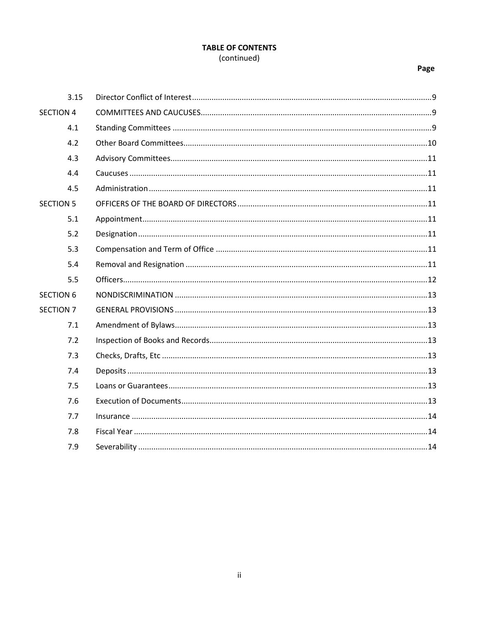## **TABLE OF CONTENTS** (continued)

## Page

|                  | 3.15 |  |
|------------------|------|--|
| <b>SECTION 4</b> |      |  |
|                  | 4.1  |  |
|                  | 4.2  |  |
|                  | 4.3  |  |
|                  | 4.4  |  |
|                  | 4.5  |  |
| <b>SECTION 5</b> |      |  |
|                  | 5.1  |  |
|                  | 5.2  |  |
|                  | 5.3  |  |
|                  | 5.4  |  |
|                  | 5.5  |  |
| <b>SECTION 6</b> |      |  |
| <b>SECTION 7</b> |      |  |
|                  | 7.1  |  |
|                  | 7.2  |  |
|                  | 7.3  |  |
|                  | 7.4  |  |
|                  | 7.5  |  |
|                  | 7.6  |  |
|                  | 7.7  |  |
|                  | 7.8  |  |
|                  | 7.9  |  |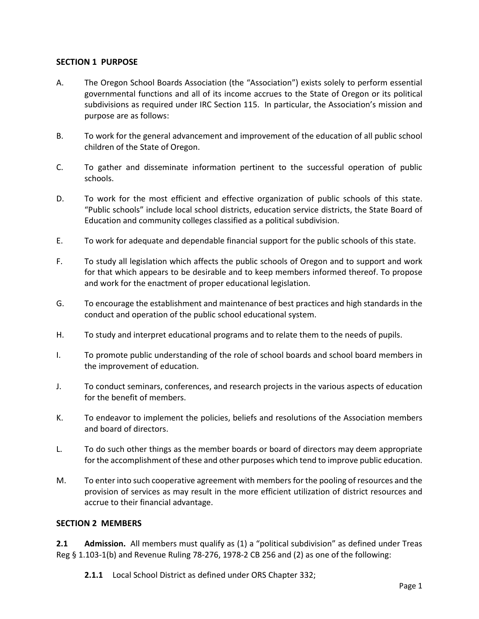## **SECTION 1 PURPOSE**

- A. The Oregon School Boards Association (the "Association") exists solely to perform essential governmental functions and all of its income accrues to the State of Oregon or its political subdivisions as required under IRC Section 115. In particular, the Association's mission and purpose are as follows:
- B. To work for the general advancement and improvement of the education of all public school children of the State of Oregon.
- C. To gather and disseminate information pertinent to the successful operation of public schools.
- D. To work for the most efficient and effective organization of public schools of this state. "Public schools" include local school districts, education service districts, the State Board of Education and community colleges classified as a political subdivision.
- E. To work for adequate and dependable financial support for the public schools of this state.
- F. To study all legislation which affects the public schools of Oregon and to support and work for that which appears to be desirable and to keep members informed thereof. To propose and work for the enactment of proper educational legislation.
- G. To encourage the establishment and maintenance of best practices and high standards in the conduct and operation of the public school educational system.
- H. To study and interpret educational programs and to relate them to the needs of pupils.
- I. To promote public understanding of the role of school boards and school board members in the improvement of education.
- J. To conduct seminars, conferences, and research projects in the various aspects of education for the benefit of members.
- K. To endeavor to implement the policies, beliefs and resolutions of the Association members and board of directors.
- L. To do such other things as the member boards or board of directors may deem appropriate for the accomplishment of these and other purposes which tend to improve public education.
- M. To enter into such cooperative agreement with members for the pooling of resources and the provision of services as may result in the more efficient utilization of district resources and accrue to their financial advantage.

## **SECTION 2 MEMBERS**

**2.1 Admission.** All members must qualify as (1) a "political subdivision" as defined under Treas Reg § 1.103-1(b) and Revenue Ruling 78-276, 1978-2 CB 256 and (2) as one of the following:

**2.1.1** Local School District as defined under ORS Chapter 332;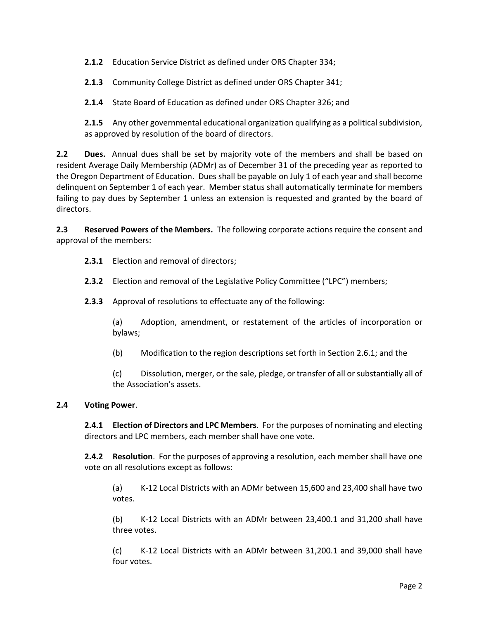**2.1.2** Education Service District as defined under ORS Chapter 334;

**2.1.3** Community College District as defined under ORS Chapter 341;

**2.1.4** State Board of Education as defined under ORS Chapter 326; and

**2.1.5** Any other governmental educational organization qualifying as a political subdivision, as approved by resolution of the board of directors.

**2.2 Dues.** Annual dues shall be set by majority vote of the members and shall be based on resident Average Daily Membership (ADMr) as of December 31 of the preceding year as reported to the Oregon Department of Education. Dues shall be payable on July 1 of each year and shall become delinquent on September 1 of each year. Member status shall automatically terminate for members failing to pay dues by September 1 unless an extension is requested and granted by the board of directors.

<span id="page-4-0"></span>**2.3 Reserved Powers of the Members.** The following corporate actions require the consent and approval of the members:

- **2.3.1** Election and removal of directors;
- **2.3.2** Election and removal of the Legislative Policy Committee ("LPC") members;
- **2.3.3** Approval of resolutions to effectuate any of the following:

(a) Adoption, amendment, or restatement of the articles of incorporation or bylaws;

(b) Modification to the region descriptions set forth in Section [2.6.1;](#page-5-0) and the

(c) Dissolution, merger, or the sale, pledge, or transfer of all or substantially all of the Association's assets.

#### <span id="page-4-1"></span>**2.4 Voting Power**.

**2.4.1 Election of Directors and LPC Members**. For the purposes of nominating and electing directors and LPC members, each member shall have one vote.

**2.4.2 Resolution**. For the purposes of approving a resolution, each member shall have one vote on all resolutions except as follows:

(a) K-12 Local Districts with an ADMr between 15,600 and 23,400 shall have two votes.

(b) K-12 Local Districts with an ADMr between 23,400.1 and 31,200 shall have three votes.

(c) K-12 Local Districts with an ADMr between 31,200.1 and 39,000 shall have four votes.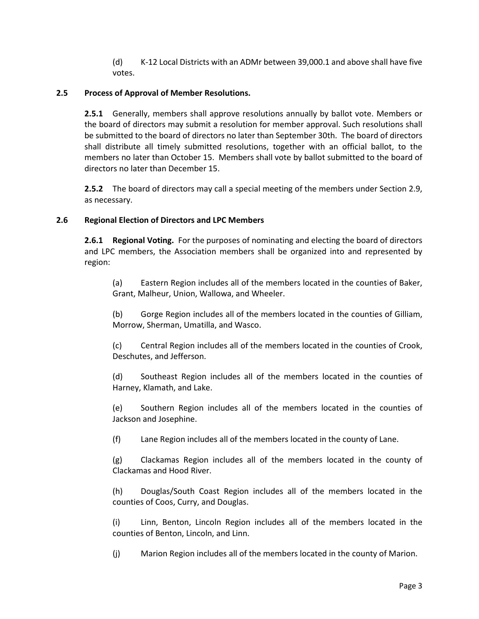(d) K-12 Local Districts with an ADMr between 39,000.1 and above shall have five votes.

## **2.5 Process of Approval of Member Resolutions.**

**2.5.1** Generally, members shall approve resolutions annually by ballot vote. Members or the board of directors may submit a resolution for member approval. Such resolutions shall be submitted to the board of directors no later than September 30th. The board of directors shall distribute all timely submitted resolutions, together with an official ballot, to the members no later than October 15. Members shall vote by ballot submitted to the board of directors no later than December 15.

**2.5.2** The board of directors may call a special meeting of the members under Sectio[n 2.9,](#page-6-0) as necessary.

## <span id="page-5-0"></span>**2.6 Regional Election of Directors and LPC Members**

**2.6.1 Regional Voting.** For the purposes of nominating and electing the board of directors and LPC members, the Association members shall be organized into and represented by region:

(a) Eastern Region includes all of the members located in the counties of Baker, Grant, Malheur, Union, Wallowa, and Wheeler.

(b) Gorge Region includes all of the members located in the counties of Gilliam, Morrow, Sherman, Umatilla, and Wasco.

(c) Central Region includes all of the members located in the counties of Crook, Deschutes, and Jefferson.

(d) Southeast Region includes all of the members located in the counties of Harney, Klamath, and Lake.

(e) Southern Region includes all of the members located in the counties of Jackson and Josephine.

(f) Lane Region includes all of the members located in the county of Lane.

(g) Clackamas Region includes all of the members located in the county of Clackamas and Hood River.

(h) Douglas/South Coast Region includes all of the members located in the counties of Coos, Curry, and Douglas.

(i) Linn, Benton, Lincoln Region includes all of the members located in the counties of Benton, Lincoln, and Linn.

(j) Marion Region includes all of the members located in the county of Marion.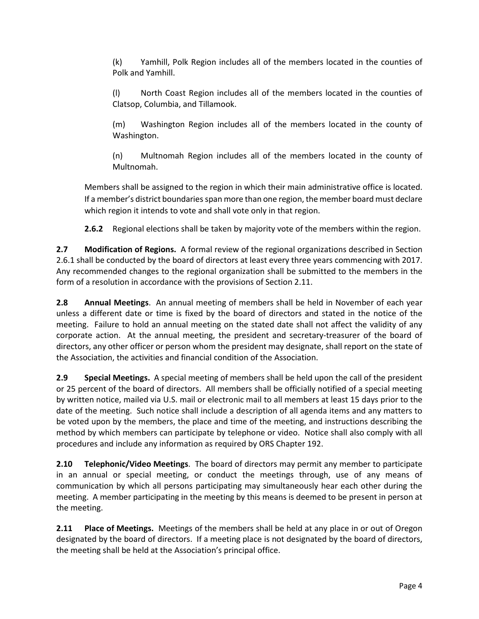(k) Yamhill, Polk Region includes all of the members located in the counties of Polk and Yamhill.

(l) North Coast Region includes all of the members located in the counties of Clatsop, Columbia, and Tillamook.

(m) Washington Region includes all of the members located in the county of Washington.

(n) Multnomah Region includes all of the members located in the county of Multnomah.

Members shall be assigned to the region in which their main administrative office is located. If a member's district boundaries span more than one region, the member board must declare which region it intends to vote and shall vote only in that region.

**2.6.2** Regional elections shall be taken by majority vote of the members within the region.

**2.7 Modification of Regions.** A formal review of the regional organizations described in Section [2.6.1](#page-5-0) shall be conducted by the board of directors at least every three years commencing with 2017. Any recommended changes to the regional organization shall be submitted to the members in the form of a resolution in accordance with the provisions of Section [2.11.](#page-6-1)

**2.8 Annual Meetings**. An annual meeting of members shall be held in November of each year unless a different date or time is fixed by the board of directors and stated in the notice of the meeting. Failure to hold an annual meeting on the stated date shall not affect the validity of any corporate action. At the annual meeting, the president and secretary-treasurer of the board of directors, any other officer or person whom the president may designate, shall report on the state of the Association, the activities and financial condition of the Association.

<span id="page-6-0"></span>**2.9 Special Meetings.** A special meeting of members shall be held upon the call of the president or 25 percent of the board of directors. All members shall be officially notified of a special meeting by written notice, mailed via U.S. mail or electronic mail to all members at least 15 days prior to the date of the meeting. Such notice shall include a description of all agenda items and any matters to be voted upon by the members, the place and time of the meeting, and instructions describing the method by which members can participate by telephone or video. Notice shall also comply with all procedures and include any information as required by ORS Chapter 192.

**2.10 Telephonic/Video Meetings**. The board of directors may permit any member to participate in an annual or special meeting, or conduct the meetings through, use of any means of communication by which all persons participating may simultaneously hear each other during the meeting. A member participating in the meeting by this means is deemed to be present in person at the meeting.

<span id="page-6-1"></span>**2.11 Place of Meetings.** Meetings of the members shall be held at any place in or out of Oregon designated by the board of directors. If a meeting place is not designated by the board of directors, the meeting shall be held at the Association's principal office.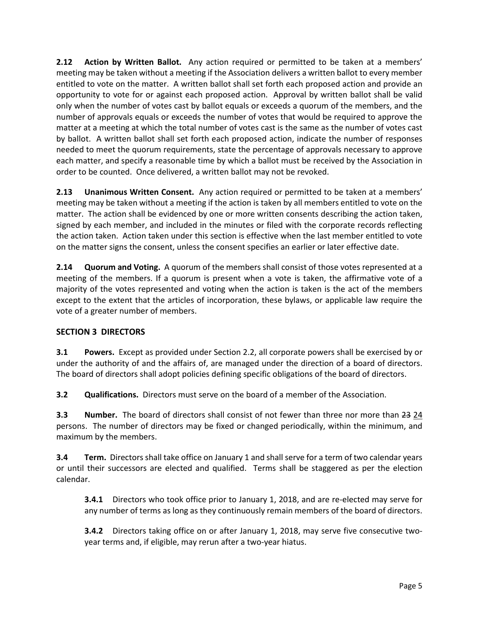**2.12 Action by Written Ballot.** Any action required or permitted to be taken at a members' meeting may be taken without a meeting if the Association delivers a written ballot to every member entitled to vote on the matter. A written ballot shall set forth each proposed action and provide an opportunity to vote for or against each proposed action. Approval by written ballot shall be valid only when the number of votes cast by ballot equals or exceeds a quorum of the members, and the number of approvals equals or exceeds the number of votes that would be required to approve the matter at a meeting at which the total number of votes cast is the same as the number of votes cast by ballot. A written ballot shall set forth each proposed action, indicate the number of responses needed to meet the quorum requirements, state the percentage of approvals necessary to approve each matter, and specify a reasonable time by which a ballot must be received by the Association in order to be counted. Once delivered, a written ballot may not be revoked.

**2.13 Unanimous Written Consent.** Any action required or permitted to be taken at a members' meeting may be taken without a meeting if the action is taken by all members entitled to vote on the matter. The action shall be evidenced by one or more written consents describing the action taken, signed by each member, and included in the minutes or filed with the corporate records reflecting the action taken. Action taken under this section is effective when the last member entitled to vote on the matter signs the consent, unless the consent specifies an earlier or later effective date.

**2.14 Quorum and Voting.** A quorum of the members shall consist of those votes represented at a meeting of the members. If a quorum is present when a vote is taken, the affirmative vote of a majority of the votes represented and voting when the action is taken is the act of the members except to the extent that the articles of incorporation, these bylaws, or applicable law require the vote of a greater number of members.

# **SECTION 3 DIRECTORS**

**3.1 Powers.** Except as provided under Section [2.2,](#page-4-0) all corporate powers shall be exercised by or under the authority of and the affairs of, are managed under the direction of a board of directors. The board of directors shall adopt policies defining specific obligations of the board of directors.

**3.2 Qualifications.** Directors must serve on the board of a member of the Association.

**3.3 Number.** The board of directors shall consist of not fewer than three nor more than 23 24 persons. The number of directors may be fixed or changed periodically, within the minimum, and maximum by the members.

**3.4 Term.** Directors shall take office on January 1 and shall serve for a term of two calendar years or until their successors are elected and qualified. Terms shall be staggered as per the election calendar.

**3.4.1** Directors who took office prior to January 1, 2018, and are re-elected may serve for any number of terms as long as they continuously remain members of the board of directors.

**3.4.2** Directors taking office on or after January 1, 2018, may serve five consecutive twoyear terms and, if eligible, may rerun after a two-year hiatus.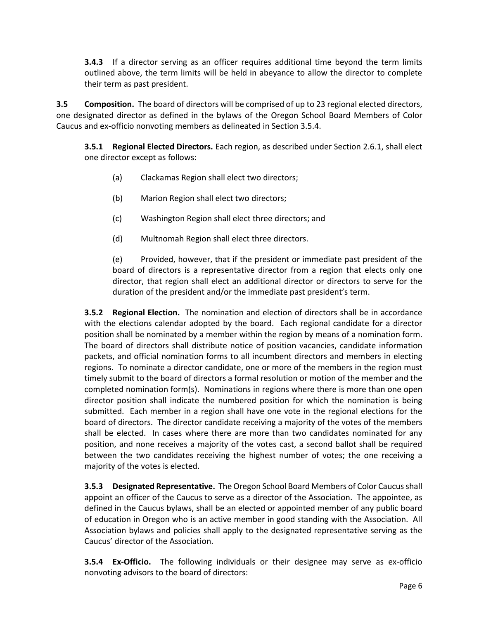**3.4.3** If a director serving as an officer requires additional time beyond the term limits outlined above, the term limits will be held in abeyance to allow the director to complete their term as past president.

<span id="page-8-1"></span>**3.5 Composition.** The board of directors will be comprised of up to 23 regional elected directors, one designated director as defined in the bylaws of the Oregon School Board Members of Color Caucus and ex-officio nonvoting members as delineated in Section 3.5.4.

**3.5.1 Regional Elected Directors.** Each region, as described under Section [2.6.1,](#page-5-0) shall elect one director except as follows:

- (a) Clackamas Region shall elect two directors;
- (b) Marion Region shall elect two directors;
- (c) Washington Region shall elect three directors; and
- <span id="page-8-2"></span>(d) Multnomah Region shall elect three directors.

(e) Provided, however, that if the president or immediate past president of the board of directors is a representative director from a region that elects only one director, that region shall elect an additional director or directors to serve for the duration of the president and/or the immediate past president's term.

<span id="page-8-0"></span>**3.5.2 Regional Election.** The nomination and election of directors shall be in accordance with the elections calendar adopted by the board. Each regional candidate for a director position shall be nominated by a member within the region by means of a nomination form. The board of directors shall distribute notice of position vacancies, candidate information packets, and official nomination forms to all incumbent directors and members in electing regions. To nominate a director candidate, one or more of the members in the region must timely submit to the board of directors a formal resolution or motion of the member and the completed nomination form(s). Nominations in regions where there is more than one open director position shall indicate the numbered position for which the nomination is being submitted. Each member in a region shall have one vote in the regional elections for the board of directors. The director candidate receiving a majority of the votes of the members shall be elected. In cases where there are more than two candidates nominated for any position, and none receives a majority of the votes cast, a second ballot shall be required between the two candidates receiving the highest number of votes; the one receiving a majority of the votes is elected.

**3.5.3 Designated Representative.** The Oregon School Board Members of Color Caucus shall appoint an officer of the Caucus to serve as a director of the Association. The appointee, as defined in the Caucus bylaws, shall be an elected or appointed member of any public board of education in Oregon who is an active member in good standing with the Association. All Association bylaws and policies shall apply to the designated representative serving as the Caucus' director of the Association.

**3.5.4 Ex-Officio.** The following individuals or their designee may serve as ex-officio nonvoting advisors to the board of directors: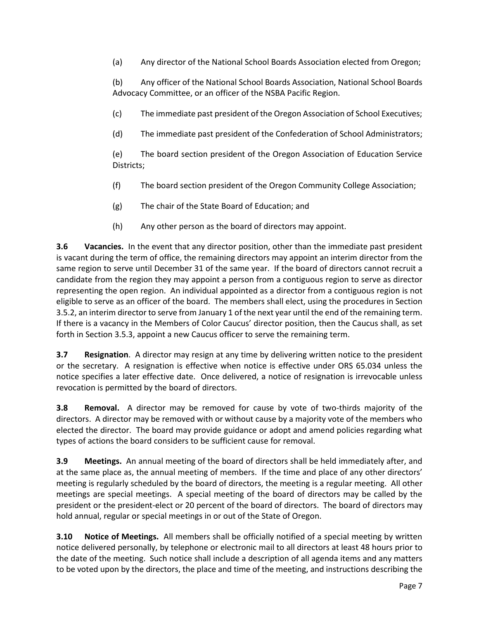(a) Any director of the National School Boards Association elected from Oregon;

(b) Any officer of the National School Boards Association, National School Boards Advocacy Committee, or an officer of the NSBA Pacific Region.

(c) The immediate past president of the Oregon Association of School Executives;

(d) The immediate past president of the Confederation of School Administrators;

(e) The board section president of the Oregon Association of Education Service Districts;

- (f) The board section president of the Oregon Community College Association;
- (g) The chair of the State Board of Education; and
- (h) Any other person as the board of directors may appoint.

**3.6 Vacancies.** In the event that any director position, other than the immediate past president is vacant during the term of office, the remaining directors may appoint an interim director from the same region to serve until December 31 of the same year. If the board of directors cannot recruit a candidate from the region they may appoint a person from a contiguous region to serve as director representing the open region. An individual appointed as a director from a contiguous region is not eligible to serve as an officer of the board. The members shall elect, using the procedures in Section [3.5.2,](#page-8-0) an interim director to serve from January 1 of the next year until the end of the remaining term. If there is a vacancy in the Members of Color Caucus' director position, then the Caucus shall, as set forth in Section 3.5.3, appoint a new Caucus officer to serve the remaining term.

**3.7 Resignation**. A director may resign at any time by delivering written notice to the president or the secretary. A resignation is effective when notice is effective under ORS 65.034 unless the notice specifies a later effective date. Once delivered, a notice of resignation is irrevocable unless revocation is permitted by the board of directors.

**3.8 Removal.** A director may be removed for cause by vote of two-thirds majority of the directors. A director may be removed with or without cause by a majority vote of the members who elected the director. The board may provide guidance or adopt and amend policies regarding what types of actions the board considers to be sufficient cause for removal.

**3.9 Meetings.** An annual meeting of the board of directors shall be held immediately after, and at the same place as, the annual meeting of members. If the time and place of any other directors' meeting is regularly scheduled by the board of directors, the meeting is a regular meeting. All other meetings are special meetings. A special meeting of the board of directors may be called by the president or the president-elect or 20 percent of the board of directors. The board of directors may hold annual, regular or special meetings in or out of the State of Oregon.

**3.10 Notice of Meetings.** All members shall be officially notified of a special meeting by written notice delivered personally, by telephone or electronic mail to all directors at least 48 hours prior to the date of the meeting. Such notice shall include a description of all agenda items and any matters to be voted upon by the directors, the place and time of the meeting, and instructions describing the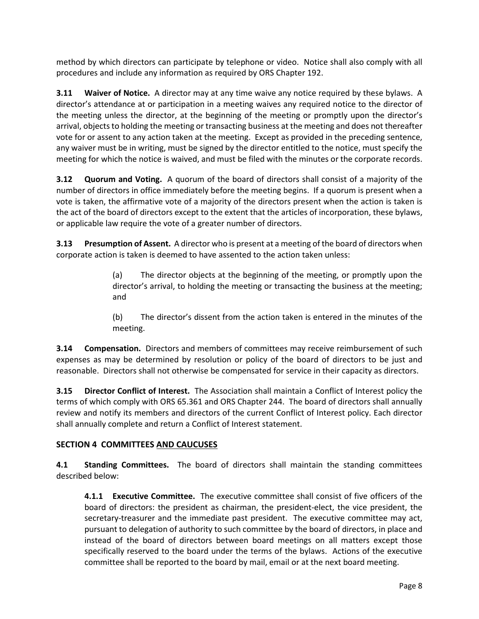method by which directors can participate by telephone or video. Notice shall also comply with all procedures and include any information as required by ORS Chapter 192.

**3.11 Waiver of Notice.** A director may at any time waive any notice required by these bylaws. A director's attendance at or participation in a meeting waives any required notice to the director of the meeting unless the director, at the beginning of the meeting or promptly upon the director's arrival, objects to holding the meeting or transacting business at the meeting and does not thereafter vote for or assent to any action taken at the meeting. Except as provided in the preceding sentence, any waiver must be in writing, must be signed by the director entitled to the notice, must specify the meeting for which the notice is waived, and must be filed with the minutes or the corporate records.

**3.12 Quorum and Voting.** A quorum of the board of directors shall consist of a majority of the number of directors in office immediately before the meeting begins. If a quorum is present when a vote is taken, the affirmative vote of a majority of the directors present when the action is taken is the act of the board of directors except to the extent that the articles of incorporation, these bylaws, or applicable law require the vote of a greater number of directors.

**3.13 Presumption of Assent.** A director who is present at a meeting of the board of directors when corporate action is taken is deemed to have assented to the action taken unless:

> (a) The director objects at the beginning of the meeting, or promptly upon the director's arrival, to holding the meeting or transacting the business at the meeting; and

> (b) The director's dissent from the action taken is entered in the minutes of the meeting.

**3.14 Compensation.** Directors and members of committees may receive reimbursement of such expenses as may be determined by resolution or policy of the board of directors to be just and reasonable. Directors shall not otherwise be compensated for service in their capacity as directors.

**3.15 Director Conflict of Interest.** The Association shall maintain a Conflict of Interest policy the terms of which comply with ORS 65.361 and ORS Chapter 244. The board of directors shall annually review and notify its members and directors of the current Conflict of Interest policy. Each director shall annually complete and return a Conflict of Interest statement.

# **SECTION 4 COMMITTEES AND CAUCUSES**

**4.1 Standing Committees.** The board of directors shall maintain the standing committees described below:

**4.1.1 Executive Committee.** The executive committee shall consist of five officers of the board of directors: the president as chairman, the president-elect, the vice president, the secretary-treasurer and the immediate past president. The executive committee may act, pursuant to delegation of authority to such committee by the board of directors, in place and instead of the board of directors between board meetings on all matters except those specifically reserved to the board under the terms of the bylaws. Actions of the executive committee shall be reported to the board by mail, email or at the next board meeting.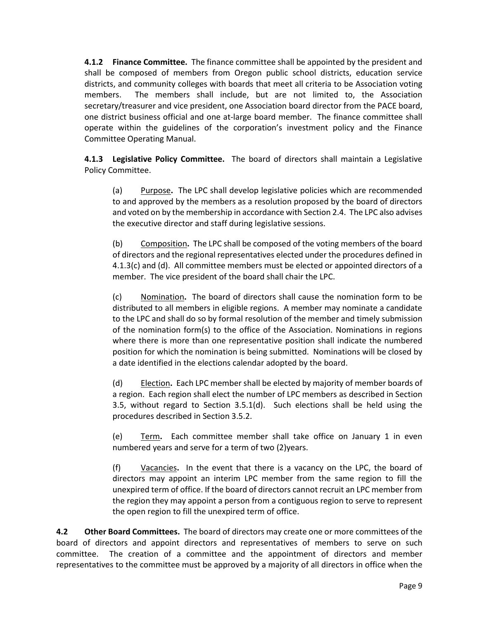**4.1.2 Finance Committee.** The finance committee shall be appointed by the president and shall be composed of members from Oregon public school districts, education service districts, and community colleges with boards that meet all criteria to be Association voting members. The members shall include, but are not limited to, the Association secretary/treasurer and vice president, one Association board director from the PACE board, one district business official and one at-large board member. The finance committee shall operate within the guidelines of the corporation's investment policy and the Finance Committee Operating Manual.

<span id="page-11-0"></span>**4.1.3 Legislative Policy Committee.** The board of directors shall maintain a Legislative Policy Committee.

(a) Purpose**.** The LPC shall develop legislative policies which are recommended to and approved by the members as a resolution proposed by the board of directors and voted on by the membership in accordance with Sectio[n 2.4.](#page-4-1) The LPC also advises the executive director and staff during legislative sessions.

(b) Composition**.** The LPC shall be composed of the voting members of the board of directors and the regional representatives elected under the procedures defined in [4.1.3](#page-11-0)[\(c\)](#page-11-1) and [\(d\).](#page-11-2) All committee members must be elected or appointed directors of a member. The vice president of the board shall chair the LPC.

<span id="page-11-1"></span>(c) Nomination**.** The board of directors shall cause the nomination form to be distributed to all members in eligible regions. A member may nominate a candidate to the LPC and shall do so by formal resolution of the member and timely submission of the nomination form(s) to the office of the Association. Nominations in regions where there is more than one representative position shall indicate the numbered position for which the nomination is being submitted. Nominations will be closed by a date identified in the elections calendar adopted by the board.

<span id="page-11-2"></span>(d) Election**.** Each LPC member shall be elected by majority of member boards of a region. Each region shall elect the number of LPC members as described in Section [3.5,](#page-8-1) without regard to Section [3.5.1\(d\).](#page-8-2) Such elections shall be held using the procedures described in Section [3.5.2.](#page-8-0)

(e) Term**.** Each committee member shall take office on January 1 in even numbered years and serve for a term of two (2)years.

(f) Vacancies**.** In the event that there is a vacancy on the LPC, the board of directors may appoint an interim LPC member from the same region to fill the unexpired term of office. If the board of directors cannot recruit an LPC member from the region they may appoint a person from a contiguous region to serve to represent the open region to fill the unexpired term of office.

**4.2 Other Board Committees.** The board of directors may create one or more committees of the board of directors and appoint directors and representatives of members to serve on such committee. The creation of a committee and the appointment of directors and member representatives to the committee must be approved by a majority of all directors in office when the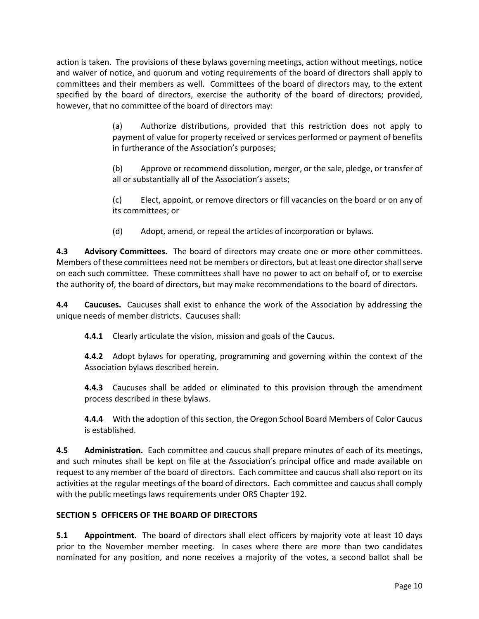action is taken. The provisions of these bylaws governing meetings, action without meetings, notice and waiver of notice, and quorum and voting requirements of the board of directors shall apply to committees and their members as well. Committees of the board of directors may, to the extent specified by the board of directors, exercise the authority of the board of directors; provided, however, that no committee of the board of directors may:

> (a) Authorize distributions, provided that this restriction does not apply to payment of value for property received or services performed or payment of benefits in furtherance of the Association's purposes;

> (b) Approve or recommend dissolution, merger, or the sale, pledge, or transfer of all or substantially all of the Association's assets;

> (c) Elect, appoint, or remove directors or fill vacancies on the board or on any of its committees; or

(d) Adopt, amend, or repeal the articles of incorporation or bylaws.

**4.3 Advisory Committees.** The board of directors may create one or more other committees. Members of these committees need not be members or directors, but at least one director shall serve on each such committee. These committees shall have no power to act on behalf of, or to exercise the authority of, the board of directors, but may make recommendations to the board of directors.

**4.4 Caucuses.** Caucuses shall exist to enhance the work of the Association by addressing the unique needs of member districts. Caucuses shall:

**4.4.1** Clearly articulate the vision, mission and goals of the Caucus.

**4.4.2** Adopt bylaws for operating, programming and governing within the context of the Association bylaws described herein.

**4.4.3** Caucuses shall be added or eliminated to this provision through the amendment process described in these bylaws.

**4.4.4** With the adoption of this section, the Oregon School Board Members of Color Caucus is established.

**4.5 Administration.** Each committee and caucus shall prepare minutes of each of its meetings, and such minutes shall be kept on file at the Association's principal office and made available on request to any member of the board of directors. Each committee and caucus shall also report on its activities at the regular meetings of the board of directors. Each committee and caucus shall comply with the public meetings laws requirements under ORS Chapter 192.

# **SECTION 5 OFFICERS OF THE BOARD OF DIRECTORS**

**5.1 Appointment.** The board of directors shall elect officers by majority vote at least 10 days prior to the November member meeting. In cases where there are more than two candidates nominated for any position, and none receives a majority of the votes, a second ballot shall be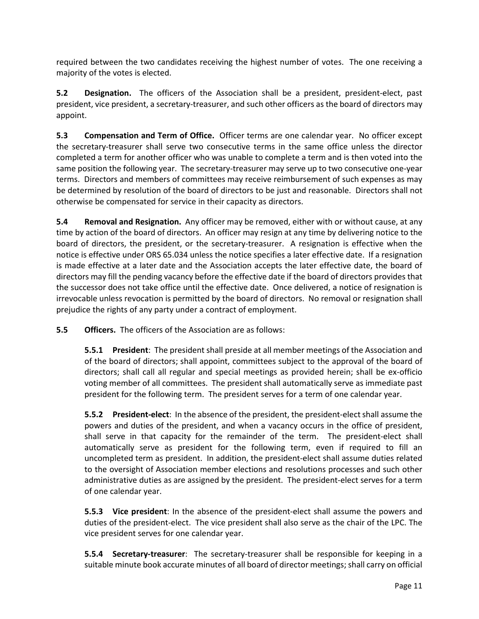required between the two candidates receiving the highest number of votes. The one receiving a majority of the votes is elected.

**5.2 Designation.** The officers of the Association shall be a president, president-elect, past president, vice president, a secretary-treasurer, and such other officers as the board of directors may appoint.

**5.3 Compensation and Term of Office.** Officer terms are one calendar year. No officer except the secretary-treasurer shall serve two consecutive terms in the same office unless the director completed a term for another officer who was unable to complete a term and is then voted into the same position the following year. The secretary-treasurer may serve up to two consecutive one-year terms. Directors and members of committees may receive reimbursement of such expenses as may be determined by resolution of the board of directors to be just and reasonable. Directors shall not otherwise be compensated for service in their capacity as directors.

**5.4 Removal and Resignation.** Any officer may be removed, either with or without cause, at any time by action of the board of directors. An officer may resign at any time by delivering notice to the board of directors, the president, or the secretary-treasurer. A resignation is effective when the notice is effective under ORS 65.034 unless the notice specifies a later effective date. If a resignation is made effective at a later date and the Association accepts the later effective date, the board of directors may fill the pending vacancy before the effective date if the board of directors provides that the successor does not take office until the effective date. Once delivered, a notice of resignation is irrevocable unless revocation is permitted by the board of directors. No removal or resignation shall prejudice the rights of any party under a contract of employment.

**5.5 Officers.** The officers of the Association are as follows:

**5.5.1 President**: The president shall preside at all member meetings of the Association and of the board of directors; shall appoint, committees subject to the approval of the board of directors; shall call all regular and special meetings as provided herein; shall be ex-officio voting member of all committees. The president shall automatically serve as immediate past president for the following term. The president serves for a term of one calendar year.

**5.5.2 President-elect**: In the absence of the president, the president-elect shall assume the powers and duties of the president, and when a vacancy occurs in the office of president, shall serve in that capacity for the remainder of the term. The president-elect shall automatically serve as president for the following term, even if required to fill an uncompleted term as president. In addition, the president-elect shall assume duties related to the oversight of Association member elections and resolutions processes and such other administrative duties as are assigned by the president. The president-elect serves for a term of one calendar year.

**5.5.3 Vice president**: In the absence of the president-elect shall assume the powers and duties of the president-elect. The vice president shall also serve as the chair of the LPC. The vice president serves for one calendar year.

**5.5.4 Secretary-treasurer**: The secretary-treasurer shall be responsible for keeping in a suitable minute book accurate minutes of all board of director meetings; shall carry on official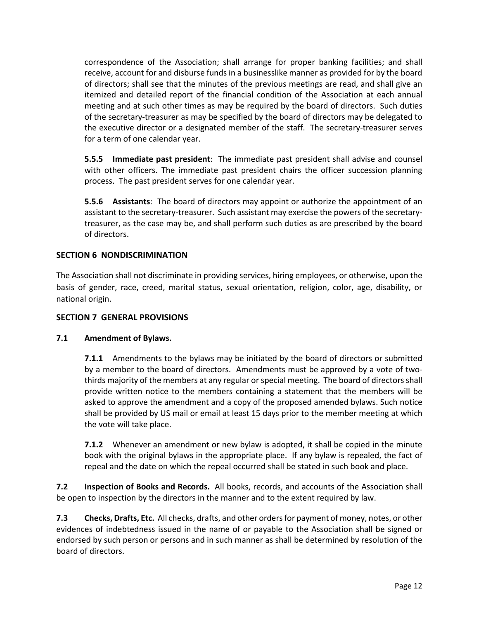correspondence of the Association; shall arrange for proper banking facilities; and shall receive, account for and disburse funds in a businesslike manner as provided for by the board of directors; shall see that the minutes of the previous meetings are read, and shall give an itemized and detailed report of the financial condition of the Association at each annual meeting and at such other times as may be required by the board of directors. Such duties of the secretary-treasurer as may be specified by the board of directors may be delegated to the executive director or a designated member of the staff. The secretary-treasurer serves for a term of one calendar year.

**5.5.5 Immediate past president**: The immediate past president shall advise and counsel with other officers. The immediate past president chairs the officer succession planning process. The past president serves for one calendar year.

**5.5.6 Assistants**: The board of directors may appoint or authorize the appointment of an assistant to the secretary-treasurer. Such assistant may exercise the powers of the secretarytreasurer, as the case may be, and shall perform such duties as are prescribed by the board of directors.

## **SECTION 6 NONDISCRIMINATION**

The Association shall not discriminate in providing services, hiring employees, or otherwise, upon the basis of gender, race, creed, marital status, sexual orientation, religion, color, age, disability, or national origin.

## **SECTION 7 GENERAL PROVISIONS**

## **7.1 Amendment of Bylaws.**

**7.1.1** Amendments to the bylaws may be initiated by the board of directors or submitted by a member to the board of directors. Amendments must be approved by a vote of twothirds majority of the members at any regular or special meeting. The board of directors shall provide written notice to the members containing a statement that the members will be asked to approve the amendment and a copy of the proposed amended bylaws. Such notice shall be provided by US mail or email at least 15 days prior to the member meeting at which the vote will take place.

**7.1.2** Whenever an amendment or new bylaw is adopted, it shall be copied in the minute book with the original bylaws in the appropriate place. If any bylaw is repealed, the fact of repeal and the date on which the repeal occurred shall be stated in such book and place.

**7.2 Inspection of Books and Records.** All books, records, and accounts of the Association shall be open to inspection by the directors in the manner and to the extent required by law.

**7.3 Checks, Drafts, Etc.** All checks, drafts, and other orders for payment of money, notes, or other evidences of indebtedness issued in the name of or payable to the Association shall be signed or endorsed by such person or persons and in such manner as shall be determined by resolution of the board of directors.